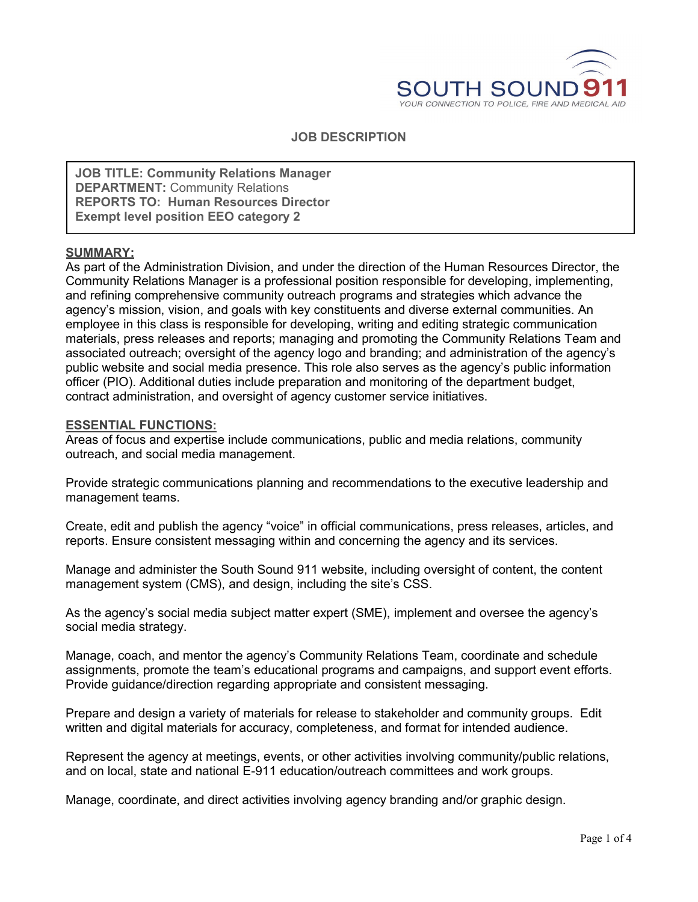

#### **JOB DESCRIPTION**

**JOB TITLE: Community Relations Manager DEPARTMENT:** Community Relations **REPORTS TO: Human Resources Director Exempt level position EEO category 2**

#### **SUMMARY:**

As part of the Administration Division, and under the direction of the Human Resources Director, the Community Relations Manager is a professional position responsible for developing, implementing, and refining comprehensive community outreach programs and strategies which advance the agency's mission, vision, and goals with key constituents and diverse external communities. An employee in this class is responsible for developing, writing and editing strategic communication materials, press releases and reports; managing and promoting the Community Relations Team and associated outreach; oversight of the agency logo and branding; and administration of the agency's public website and social media presence. This role also serves as the agency's public information officer (PIO). Additional duties include preparation and monitoring of the department budget, contract administration, and oversight of agency customer service initiatives.

#### **ESSENTIAL FUNCTIONS:**

Areas of focus and expertise include communications, public and media relations, community outreach, and social media management.

Provide strategic communications planning and recommendations to the executive leadership and management teams.

Create, edit and publish the agency "voice" in official communications, press releases, articles, and reports. Ensure consistent messaging within and concerning the agency and its services.

Manage and administer the South Sound 911 website, including oversight of content, the content management system (CMS), and design, including the site's CSS.

As the agency's social media subject matter expert (SME), implement and oversee the agency's social media strategy.

Manage, coach, and mentor the agency's Community Relations Team, coordinate and schedule assignments, promote the team's educational programs and campaigns, and support event efforts. Provide guidance/direction regarding appropriate and consistent messaging.

Prepare and design a variety of materials for release to stakeholder and community groups. Edit written and digital materials for accuracy, completeness, and format for intended audience.

Represent the agency at meetings, events, or other activities involving community/public relations, and on local, state and national E-911 education/outreach committees and work groups.

Manage, coordinate, and direct activities involving agency branding and/or graphic design.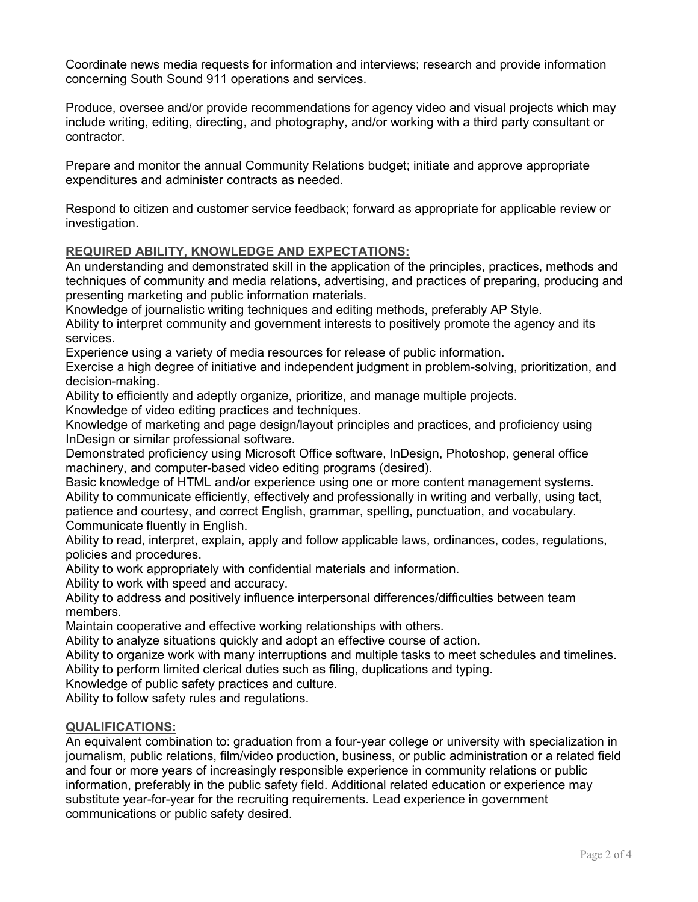Coordinate news media requests for information and interviews; research and provide information concerning South Sound 911 operations and services.

Produce, oversee and/or provide recommendations for agency video and visual projects which may include writing, editing, directing, and photography, and/or working with a third party consultant or contractor.

Prepare and monitor the annual Community Relations budget; initiate and approve appropriate expenditures and administer contracts as needed.

Respond to citizen and customer service feedback; forward as appropriate for applicable review or investigation.

### **REQUIRED ABILITY, KNOWLEDGE AND EXPECTATIONS:**

An understanding and demonstrated skill in the application of the principles, practices, methods and techniques of community and media relations, advertising, and practices of preparing, producing and presenting marketing and public information materials.

Knowledge of journalistic writing techniques and editing methods, preferably AP Style.

Ability to interpret community and government interests to positively promote the agency and its services.

Experience using a variety of media resources for release of public information.

Exercise a high degree of initiative and independent judgment in problem-solving, prioritization, and decision-making.

Ability to efficiently and adeptly organize, prioritize, and manage multiple projects.

Knowledge of video editing practices and techniques.

Knowledge of marketing and page design/layout principles and practices, and proficiency using InDesign or similar professional software.

Demonstrated proficiency using Microsoft Office software, InDesign, Photoshop, general office machinery, and computer-based video editing programs (desired).

Basic knowledge of HTML and/or experience using one or more content management systems. Ability to communicate efficiently, effectively and professionally in writing and verbally, using tact, patience and courtesy, and correct English, grammar, spelling, punctuation, and vocabulary. Communicate fluently in English.

Ability to read, interpret, explain, apply and follow applicable laws, ordinances, codes, regulations, policies and procedures.

Ability to work appropriately with confidential materials and information.

Ability to work with speed and accuracy.

Ability to address and positively influence interpersonal differences/difficulties between team members.

Maintain cooperative and effective working relationships with others.

Ability to analyze situations quickly and adopt an effective course of action.

Ability to organize work with many interruptions and multiple tasks to meet schedules and timelines.

Ability to perform limited clerical duties such as filing, duplications and typing.

Knowledge of public safety practices and culture.

Ability to follow safety rules and regulations.

# **QUALIFICATIONS:**

An equivalent combination to: graduation from a four-year college or university with specialization in journalism, public relations, film/video production, business, or public administration or a related field and four or more years of increasingly responsible experience in community relations or public information, preferably in the public safety field. Additional related education or experience may substitute year-for-year for the recruiting requirements. Lead experience in government communications or public safety desired.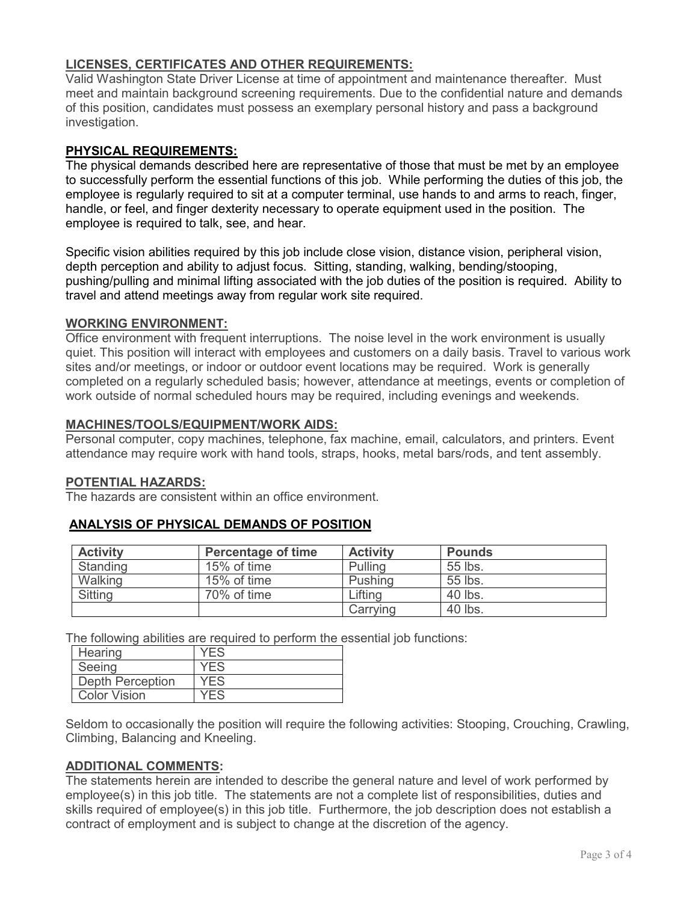# **LICENSES, CERTIFICATES AND OTHER REQUIREMENTS:**

Valid Washington State Driver License at time of appointment and maintenance thereafter. Must meet and maintain background screening requirements. Due to the confidential nature and demands of this position, candidates must possess an exemplary personal history and pass a background investigation.

# **PHYSICAL REQUIREMENTS:**

The physical demands described here are representative of those that must be met by an employee to successfully perform the essential functions of this job. While performing the duties of this job, the employee is regularly required to sit at a computer terminal, use hands to and arms to reach, finger, handle, or feel, and finger dexterity necessary to operate equipment used in the position. The employee is required to talk, see, and hear.

Specific vision abilities required by this job include close vision, distance vision, peripheral vision, depth perception and ability to adjust focus. Sitting, standing, walking, bending/stooping, pushing/pulling and minimal lifting associated with the job duties of the position is required. Ability to travel and attend meetings away from regular work site required.

#### **WORKING ENVIRONMENT:**

Office environment with frequent interruptions. The noise level in the work environment is usually quiet. This position will interact with employees and customers on a daily basis. Travel to various work sites and/or meetings, or indoor or outdoor event locations may be required. Work is generally completed on a regularly scheduled basis; however, attendance at meetings, events or completion of work outside of normal scheduled hours may be required, including evenings and weekends.

### **MACHINES/TOOLS/EQUIPMENT/WORK AIDS:**

Personal computer, copy machines, telephone, fax machine, email, calculators, and printers. Event attendance may require work with hand tools, straps, hooks, metal bars/rods, and tent assembly.

#### **POTENTIAL HAZARDS:**

The hazards are consistent within an office environment.

| <b>Activity</b> | <b>Percentage of time</b> | <b>Activity</b> | <b>Pounds</b> |
|-----------------|---------------------------|-----------------|---------------|
| Standing        | 15% of time               | Pulling         | 55 lbs.       |
| Walking         | 15% of time               | Pushing         | 55 lbs.       |
| Sitting         | 70% of time               | Lifting         | 40 lbs.       |
|                 |                           | Carrying        | 40 lbs.       |

# **ANALYSIS OF PHYSICAL DEMANDS OF POSITION**

The following abilities are required to perform the essential job functions:

| Hearing                 | YFS        |
|-------------------------|------------|
| Seeing                  | <b>YFS</b> |
| <b>Depth Perception</b> | YFS        |
| <b>Color Vision</b>     |            |

Seldom to occasionally the position will require the following activities: Stooping, Crouching, Crawling, Climbing, Balancing and Kneeling.

# **ADDITIONAL COMMENTS:**

The statements herein are intended to describe the general nature and level of work performed by employee(s) in this job title. The statements are not a complete list of responsibilities, duties and skills required of employee(s) in this job title. Furthermore, the job description does not establish a contract of employment and is subject to change at the discretion of the agency.